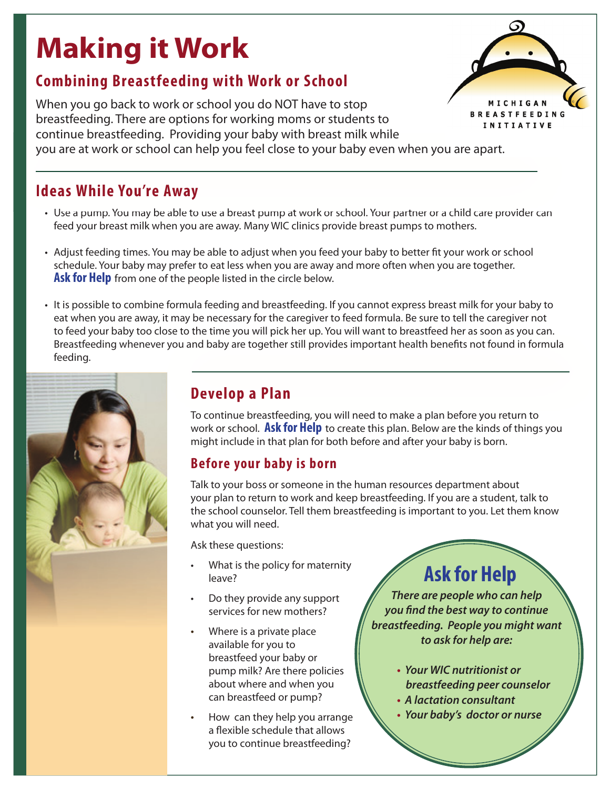# **Making it Work Combining Breastfeeding with Work or School**

When you go back to work or school you do NOT have to stop breastfeeding. There are options for working moms or students to continue breastfeeding. Providing your baby with breast milk while



you are at work or school can help you feel close to your baby even when you are apart.

### **Ideas While You're Away Ideas While You're**

- Use a pump. You may be able to use a breast pump at work or school. Your partner or a child care provider can feed your breast milk when you are away. Many WIC clinics provide breast pumps to mothers.
- Adjust feeding times. You may be able to adjust when you feed your baby to better fit your work or school schedule. Your baby may prefer to eat less when you are away and more often when you are together. **Ask for Help** from one of the people listed in the circle below.
- It is possible to combine formula feeding and breastfeeding. If you cannot express breast milk for your baby to eat when you are away, it may be necessary for the caregiver to feed formula. Be sure to tell the caregiver not to feed your baby too close to the time you will pick her up. You will want to breastfeed her as soon as you can. Breastfeeding whenever you and baby are together still provides important health benefits not found in formula feeding.



## **Develop a Plan Develop a**

To continue breastfeeding, you will need to make a plan before you return to work or school. **Ask for Help** to create this plan. Below are the kinds of things you might include in that plan for both before and after your baby is born.

### **Before your baby is born**

Talk to your boss or someone in the human resources department about your plan to return to work and keep breastfeeding. If you are a student, talk to the school counselor. Tell them breastfeeding is important to you. Let them know what you will need.

Ask these questions:

- What is the policy for maternity leave?
- Do they provide any support services for new mothers?
- Where is a private place available for you to breastfeed your baby or pump milk? Are there policies about where and when you can breastfeed or pump?
- How can they help you arrange a flexible schedule that allows you to continue breastfeeding?

**Ask for Help**

*There are people who can help you find the best way to continue breastfeeding. People you might want to ask for help are:*

- **t** *Your WIC nutritionist or breastfeeding peer counselor*
- **t** *A lactation consultant*
- **t** *Your baby's doctor or nurse*